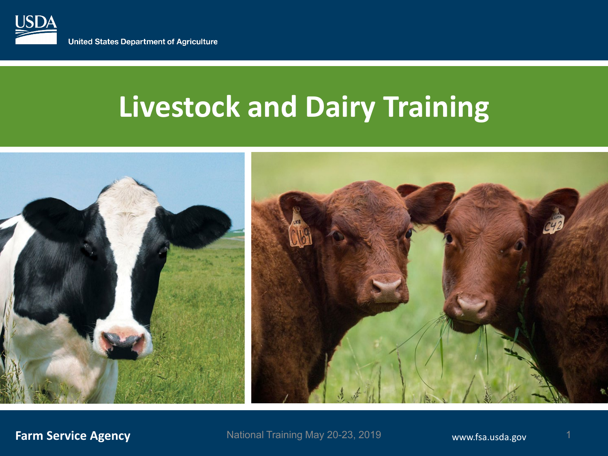

# **Livestock and Dairy Training**

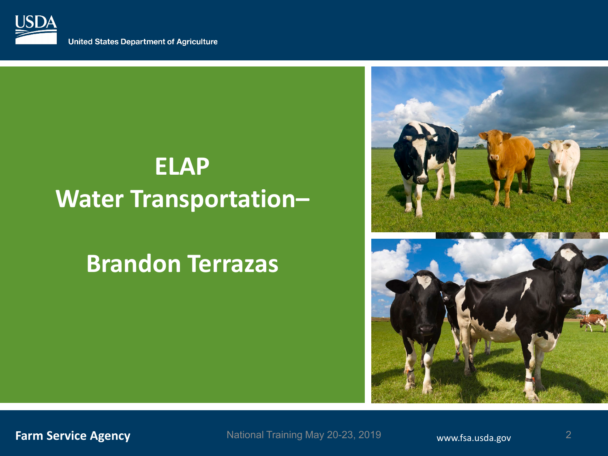

**United States Department of Agriculture** 

# **ELAP Water Transportation–**

## **Brandon Terrazas**



**Farm Service Agency Example 2018** Mational Training May 20-23, 2019 **www.fsa.usda.gov** National Training May 20-23, 2019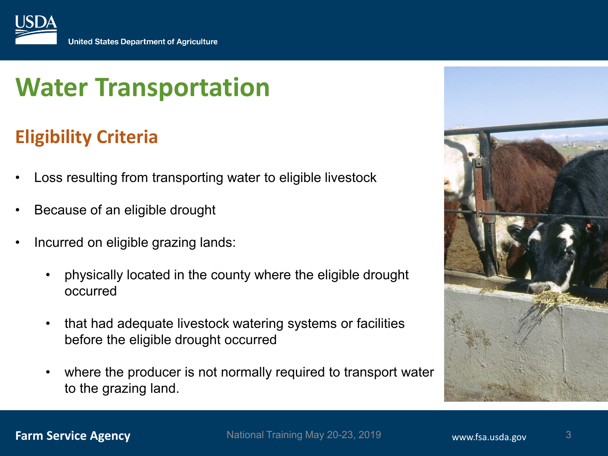

## **Eligibility Criteria**

- Loss resulting from transporting water to eligible livestock
- Because of an eligible drought
- Incurred on eligible grazing lands:
	- physically located in the county where the eligible drought occurred
	- that had adequate livestock watering systems or facilities before the eligible drought occurred
	- where the producer is not normally required to transport water to the grazing land.

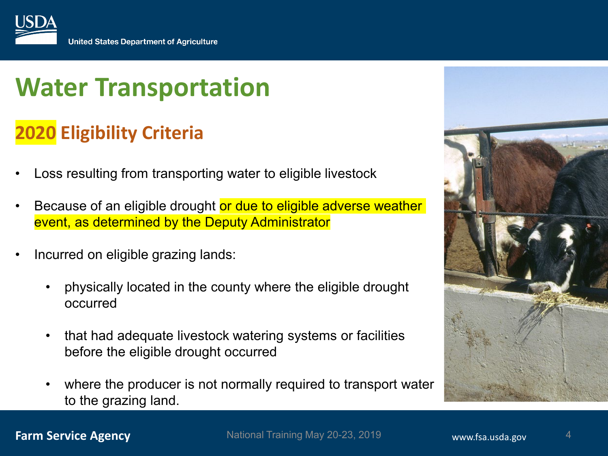

## **2020 Eligibility Criteria**

- Loss resulting from transporting water to eligible livestock
- Because of an eligible drought or due to eligible adverse weather event, as determined by the Deputy Administrator
- Incurred on eligible grazing lands:
	- physically located in the county where the eligible drought occurred
	- that had adequate livestock watering systems or facilities before the eligible drought occurred
	- where the producer is not normally required to transport water to the grazing land.

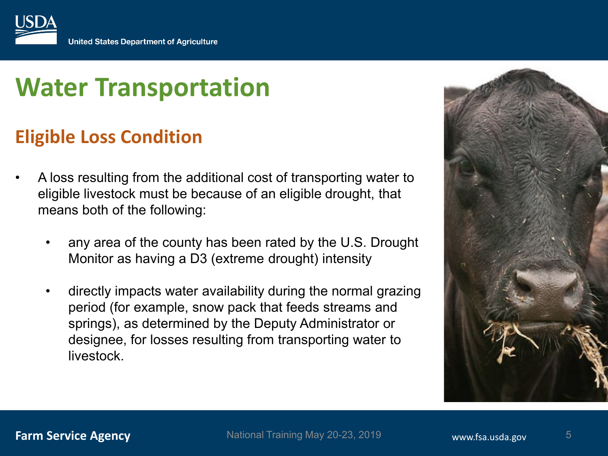

## **Eligible Loss Condition**

- A loss resulting from the additional cost of transporting water to eligible livestock must be because of an eligible drought, that means both of the following:
	- any area of the county has been rated by the U.S. Drought Monitor as having a D3 (extreme drought) intensity
	- directly impacts water availability during the normal grazing period (for example, snow pack that feeds streams and springs), as determined by the Deputy Administrator or designee, for losses resulting from transporting water to livestock.

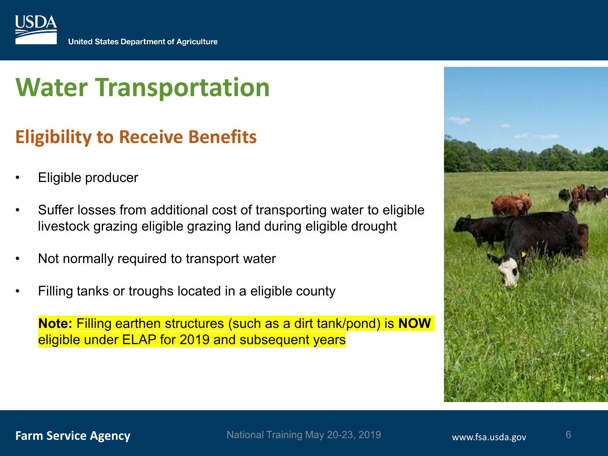

## **Eligibility to Receive Benefits**

- Eligible producer
- Suffer losses from additional cost of transporting water to eligible livestock grazing eligible grazing land during eligible drought
- Not normally required to transport water
- Filling tanks or troughs located in a eligible county

**Note:** Filling earthen structures (such as a dirt tank/pond) is **NOW** eligible under ELAP for 2019 and subsequent years

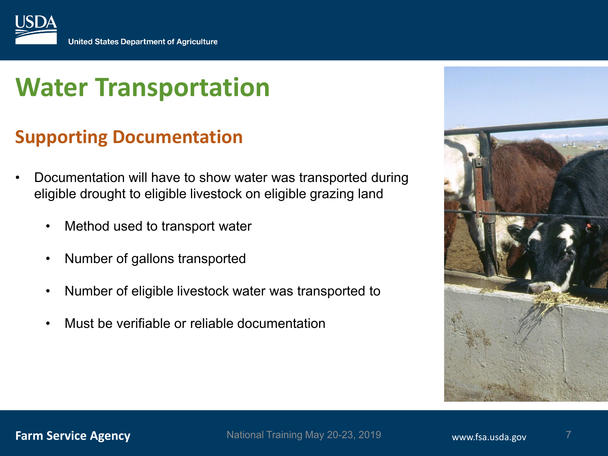

## **Supporting Documentation**

- Documentation will have to show water was transported during eligible drought to eligible livestock on eligible grazing land
	- Method used to transport water
	- Number of gallons transported
	- Number of eligible livestock water was transported to
	- Must be verifiable or reliable documentation



**Farm Service Agency Example 2018** Mational Training May 20-23, 2019 **www.fsa.usda.gov** National Training May 20-23, 2019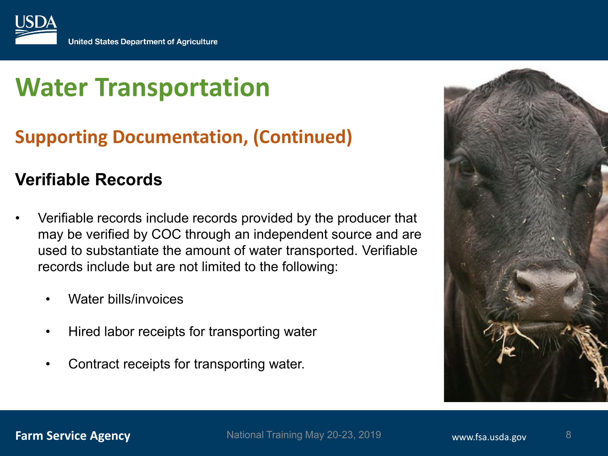

## **Supporting Documentation, (Continued)**

### **Verifiable Records**

- Verifiable records include records provided by the producer that may be verified by COC through an independent source and are used to substantiate the amount of water transported. Verifiable records include but are not limited to the following:
	- Water bills/invoices
	- Hired labor receipts for transporting water
	- Contract receipts for transporting water.

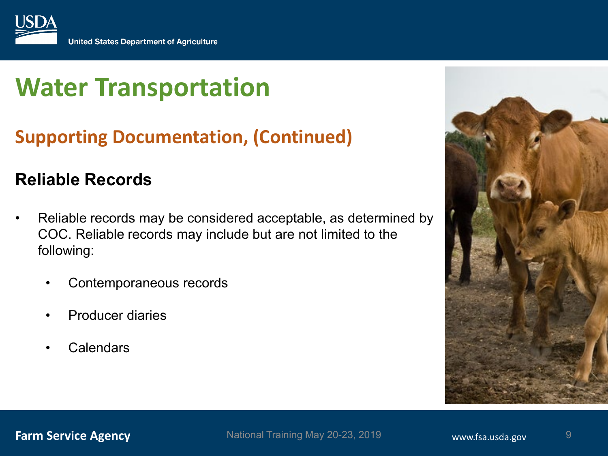

## **Supporting Documentation, (Continued)**

### **Reliable Records**

- Reliable records may be considered acceptable, as determined by COC. Reliable records may include but are not limited to the following:
	- Contemporaneous records
	- Producer diaries
	- **Calendars**



**Farm Service Agency Example 2018** Mational Training May 20-23, 2019 **www.fsa.usda.gov** National Training May 20-23, 2019  $\frac{9}{9}$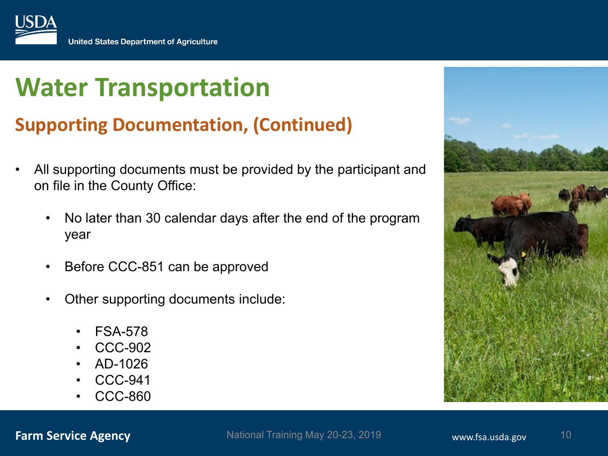

## **Supporting Documentation, (Continued)**

- All supporting documents must be provided by the participant and on file in the County Office:
	- No later than 30 calendar days after the end of the program year
	- Before CCC-851 can be approved
	- Other supporting documents include:
		- FSA-578
		- CCC-902
		- AD-1026
		- CCC-941
		- CCC-860

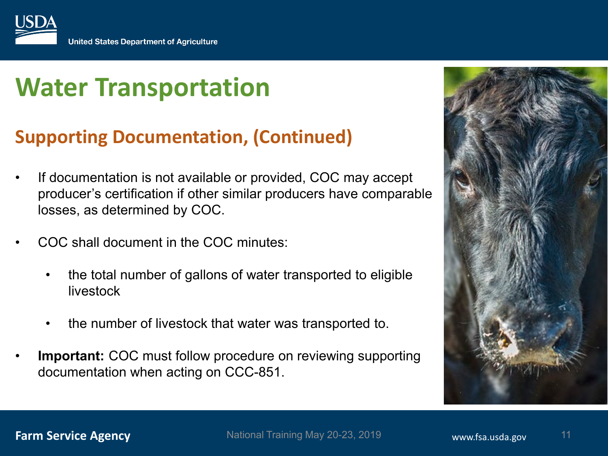

## **Supporting Documentation, (Continued)**

- If documentation is not available or provided, COC may accept producer's certification if other similar producers have comparable losses, as determined by COC.
- COC shall document in the COC minutes:
	- the total number of gallons of water transported to eligible livestock
	- the number of livestock that water was transported to.
- **Important:** COC must follow procedure on reviewing supporting documentation when acting on CCC-851.

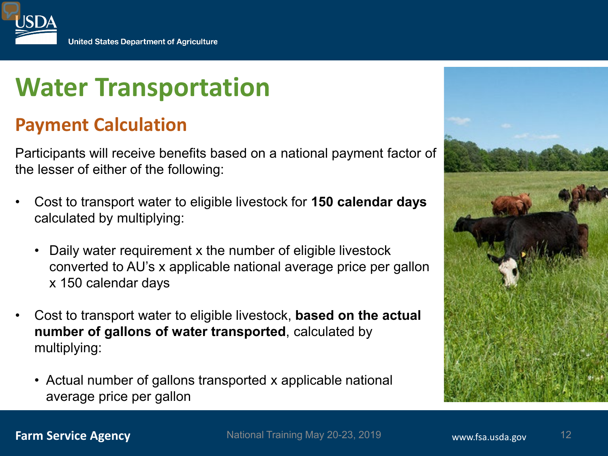

### **Payment Calculation**

Participants will receive benefits based on a national payment factor of the lesser of either of the following:

- Cost to transport water to eligible livestock for **150 calendar days**  calculated by multiplying:
	- Daily water requirement x the number of eligible livestock converted to AU's x applicable national average price per gallon x 150 calendar days
- Cost to transport water to eligible livestock, **based on the actual number of gallons of water transported**, calculated by multiplying:
	- Actual number of gallons transported x applicable national average price per gallon

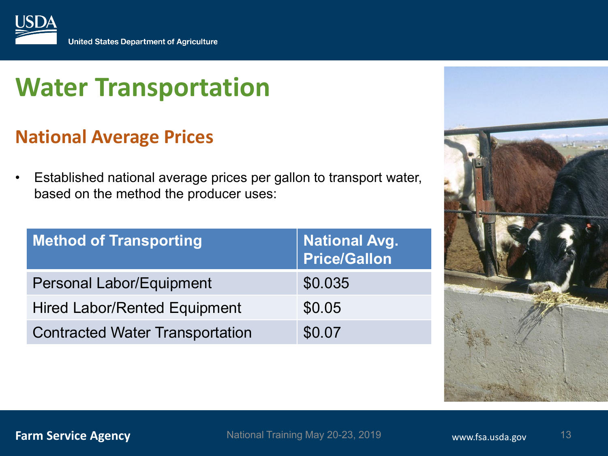

## **National Average Prices**

• Established national average prices per gallon to transport water, based on the method the producer uses:

| <b>Method of Transporting</b>          | <b>National Avg.</b><br><b>Price/Gallon</b> |
|----------------------------------------|---------------------------------------------|
| Personal Labor/Equipment               | \$0.035                                     |
| <b>Hired Labor/Rented Equipment</b>    | \$0.05                                      |
| <b>Contracted Water Transportation</b> | \$0.07                                      |



**Farm Service Agency With the Service Agency Mational Training May 20-23, 2019 www.fsa.usda.gov** National Training May 20-23, 2019 **13** vww.fsa.usda.gov 13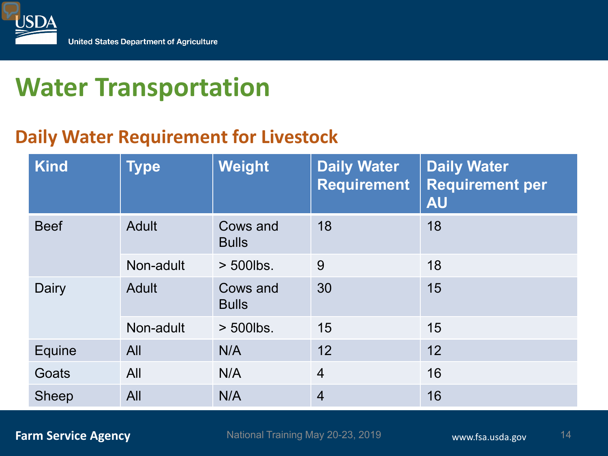

## **Daily Water Requirement for Livestock**

| <b>Kind</b>  | <b>Type</b>  | Weight                   | <b>Daily Water</b><br><b>Requirement</b> | <b>Daily Water</b><br><b>Requirement per</b><br><b>AU</b> |
|--------------|--------------|--------------------------|------------------------------------------|-----------------------------------------------------------|
| <b>Beef</b>  | <b>Adult</b> | Cows and<br><b>Bulls</b> | 18                                       | 18                                                        |
|              | Non-adult    | $>$ 500lbs.              | 9                                        | 18                                                        |
| Dairy        | <b>Adult</b> | Cows and<br><b>Bulls</b> | 30                                       | 15                                                        |
|              | Non-adult    | > 500lbs.                | 15                                       | 15                                                        |
| Equine       | All          | N/A                      | 12                                       | 12                                                        |
| Goats        | All          | N/A                      | $\overline{4}$                           | 16                                                        |
| <b>Sheep</b> | All          | N/A                      | $\overline{4}$                           | 16                                                        |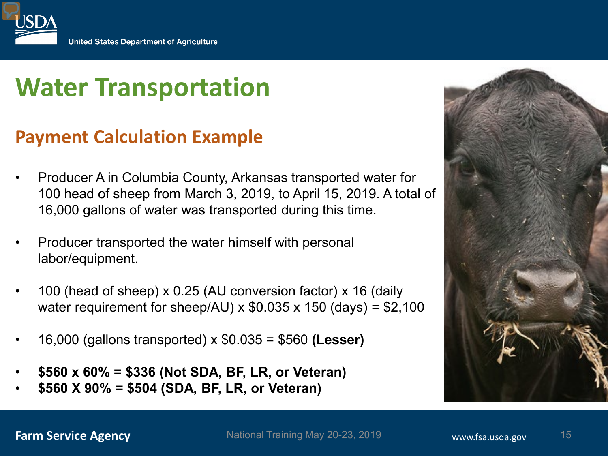

## **Payment Calculation Example**

- Producer A in Columbia County, Arkansas transported water for 100 head of sheep from March 3, 2019, to April 15, 2019. A total of 16,000 gallons of water was transported during this time.
- Producer transported the water himself with personal labor/equipment.
- 100 (head of sheep) x 0.25 (AU conversion factor) x 16 (daily water requirement for sheep/AU)  $\times$  \$0.035  $\times$  150 (days) = \$2,100
- 16,000 (gallons transported) x \$0.035 = \$560 **(Lesser)**
- **\$560 x 60% = \$336 (Not SDA, BF, LR, or Veteran)**
- **\$560 X 90% = \$504 (SDA, BF, LR, or Veteran)**

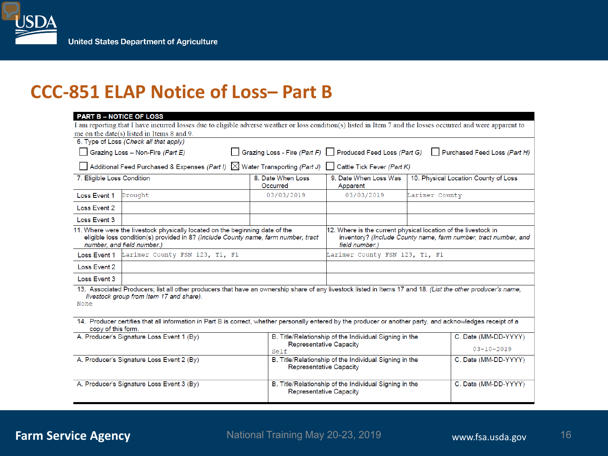### **CCC-851 ELAP Notice of Loss– Part B**

| <b>PART B - NOTICE OF LOSS</b>                                                                                                                                                                                                                                                                                                                                                   |                                                                                                                                                               |                               |                                                                                                                                                     |                                      |  |  |  |
|----------------------------------------------------------------------------------------------------------------------------------------------------------------------------------------------------------------------------------------------------------------------------------------------------------------------------------------------------------------------------------|---------------------------------------------------------------------------------------------------------------------------------------------------------------|-------------------------------|-----------------------------------------------------------------------------------------------------------------------------------------------------|--------------------------------------|--|--|--|
|                                                                                                                                                                                                                                                                                                                                                                                  | I am reporting that I have incurred losses due to eligible adverse weather or loss condition(s) listed in Item 7 and the losses occurred and were apparent to |                               |                                                                                                                                                     |                                      |  |  |  |
|                                                                                                                                                                                                                                                                                                                                                                                  | me on the date(s) listed in Items 8 and 9.<br>6. Type of Loss (Check all that apply)                                                                          |                               |                                                                                                                                                     |                                      |  |  |  |
|                                                                                                                                                                                                                                                                                                                                                                                  | Grazing Loss - Non-Fire (Part E)                                                                                                                              |                               | Grazing Loss - Fire (Part F) Produced Feed Loss (Part G)                                                                                            | Purchased Feed Loss (Part H)         |  |  |  |
|                                                                                                                                                                                                                                                                                                                                                                                  |                                                                                                                                                               |                               |                                                                                                                                                     |                                      |  |  |  |
|                                                                                                                                                                                                                                                                                                                                                                                  | Additional Feed Purchased & Expenses (Part I) $\boxtimes$ Water Transporting (Part J) $\Box$ Cattle Tick Fever (Part K)                                       |                               |                                                                                                                                                     |                                      |  |  |  |
| 7. Eligible Loss Condition                                                                                                                                                                                                                                                                                                                                                       |                                                                                                                                                               | 8. Date When Loss<br>Occurred | 9. Date When Loss Was<br>Apparent                                                                                                                   | 10. Physical Location County of Loss |  |  |  |
| Loss Event 1                                                                                                                                                                                                                                                                                                                                                                     | Drought                                                                                                                                                       | 03/03/2019                    | 03/03/2019                                                                                                                                          | Larimer County                       |  |  |  |
| Loss Event 2                                                                                                                                                                                                                                                                                                                                                                     |                                                                                                                                                               |                               |                                                                                                                                                     |                                      |  |  |  |
| Loss Event 3                                                                                                                                                                                                                                                                                                                                                                     |                                                                                                                                                               |                               |                                                                                                                                                     |                                      |  |  |  |
| 11. Where were the livestock physically located on the beginning date of the<br>eligible loss condition(s) provided in 8? (Include County name, farm number, tract<br>number, and field number.)                                                                                                                                                                                 |                                                                                                                                                               |                               | 12. Where is the current physical location of the livestock in<br>inventory? (Include County name, farm number, tract number, and<br>field number.) |                                      |  |  |  |
|                                                                                                                                                                                                                                                                                                                                                                                  | Loss Event 1 Larimer County FSN 123, T1, F1                                                                                                                   |                               | Larimer County FSN 123, T1, F1                                                                                                                      |                                      |  |  |  |
| Loss Event 2                                                                                                                                                                                                                                                                                                                                                                     |                                                                                                                                                               |                               |                                                                                                                                                     |                                      |  |  |  |
| Loss Event 3                                                                                                                                                                                                                                                                                                                                                                     |                                                                                                                                                               |                               |                                                                                                                                                     |                                      |  |  |  |
| 13. Associated Producers; list all other producers that have an ownership share of any livestock listed in Items 17 and 18. (List the other producer's name,<br>livestock group from Item 17 and share).<br>None<br>14. Producer certifies that all information in Part B is correct, whether personally entered by the producer or another party, and acknowledges receipt of a |                                                                                                                                                               |                               |                                                                                                                                                     |                                      |  |  |  |
| copy of this form.                                                                                                                                                                                                                                                                                                                                                               |                                                                                                                                                               |                               |                                                                                                                                                     |                                      |  |  |  |
| A. Producer's Signature Loss Event 1 (By)                                                                                                                                                                                                                                                                                                                                        |                                                                                                                                                               |                               | B. Title/Relationship of the Individual Signing in the<br><b>Representative Capacity</b>                                                            | C. Date (MM-DD-YYYY)                 |  |  |  |
|                                                                                                                                                                                                                                                                                                                                                                                  |                                                                                                                                                               | Self                          |                                                                                                                                                     | $03 - 10 - 2019$                     |  |  |  |
| A. Producer's Signature Loss Event 2 (By)                                                                                                                                                                                                                                                                                                                                        |                                                                                                                                                               |                               | B. Title/Relationship of the Individual Signing in the<br><b>Representative Capacity</b>                                                            | C. Date (MM-DD-YYYY)                 |  |  |  |
| A. Producer's Signature Loss Event 3 (By)                                                                                                                                                                                                                                                                                                                                        |                                                                                                                                                               |                               | B. Title/Relationship of the Individual Signing in the<br><b>Representative Capacity</b>                                                            | C. Date (MM-DD-YYYY)                 |  |  |  |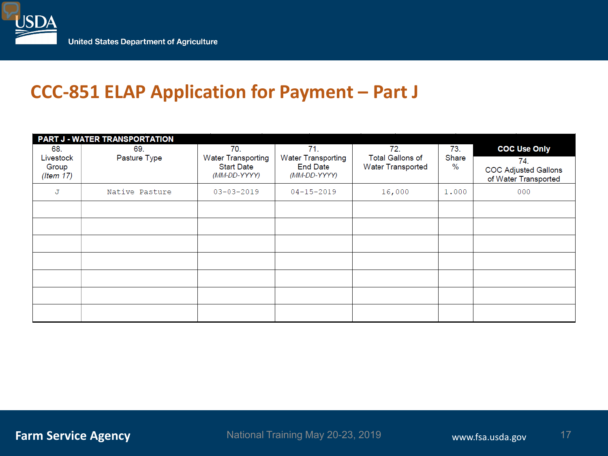

## **CCC-851 ELAP Application for Payment – Part J**

| <b>PART J - WATER TRANSPORTATION</b> |                |                                                |                                              |                                                     |               |                                                     |
|--------------------------------------|----------------|------------------------------------------------|----------------------------------------------|-----------------------------------------------------|---------------|-----------------------------------------------------|
| 68.                                  | 69.            | 70.                                            | 71.                                          | 72.                                                 | 73.           | <b>COC Use Only</b>                                 |
| Livestock<br>Group                   | Pasture Type   | <b>Water Transporting</b><br><b>Start Date</b> | <b>Water Transporting</b><br><b>End Date</b> | <b>Total Gallons of</b><br><b>Water Transported</b> | Share<br>$\%$ | 74.                                                 |
| (Item 17)                            |                | (MM-DD-YYYY)                                   | (MM-DD-YYYY)                                 |                                                     |               | <b>COC Adjusted Gallons</b><br>of Water Transported |
| J                                    | Native Pasture | $03 - 03 - 2019$                               | $04 - 15 - 2019$                             | 16,000                                              | 1,000         | 000                                                 |
|                                      |                |                                                |                                              |                                                     |               |                                                     |
|                                      |                |                                                |                                              |                                                     |               |                                                     |
|                                      |                |                                                |                                              |                                                     |               |                                                     |
|                                      |                |                                                |                                              |                                                     |               |                                                     |
|                                      |                |                                                |                                              |                                                     |               |                                                     |
|                                      |                |                                                |                                              |                                                     |               |                                                     |
|                                      |                |                                                |                                              |                                                     |               |                                                     |